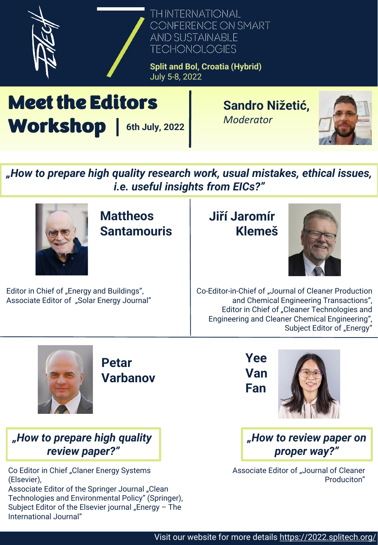

Meet the Editors Workshop | 6th July, 2022

**Sandro Nižetić,**  *Moderator*



*"How to prepare high quality research work, usual mistakes, ethical issues, i.e. useful insights from EICs?"*



**Mattheos Santamouris**

Editor in Chief of "Energy and Buildings", Associate Editor of "Solar Energy Journal"

## **Jiří Jaromír Klemeš**



Co-Editor-in-Chief of "Journal of Cleaner Production and Chemical Engineering Transactions", Editor in Chief of "Cleaner Technologies and Engineering and Cleaner Chemical Engineering", Subject Editor of "Energy"



**Petar Varbanov**

*"How to prepare high quality review paper?"*

Co Editor in Chief "Claner Energy Systems (Elsevier),

Associate Editor of the Springer Journal "Clean Technologies and Environmental Policy" (Springer), Subject Editor of the Elsevier journal "Energy  $-$  The International Journal"





*"How to review paper on proper way?"*

Associate Editor of "Journal of Cleaner Produciton"